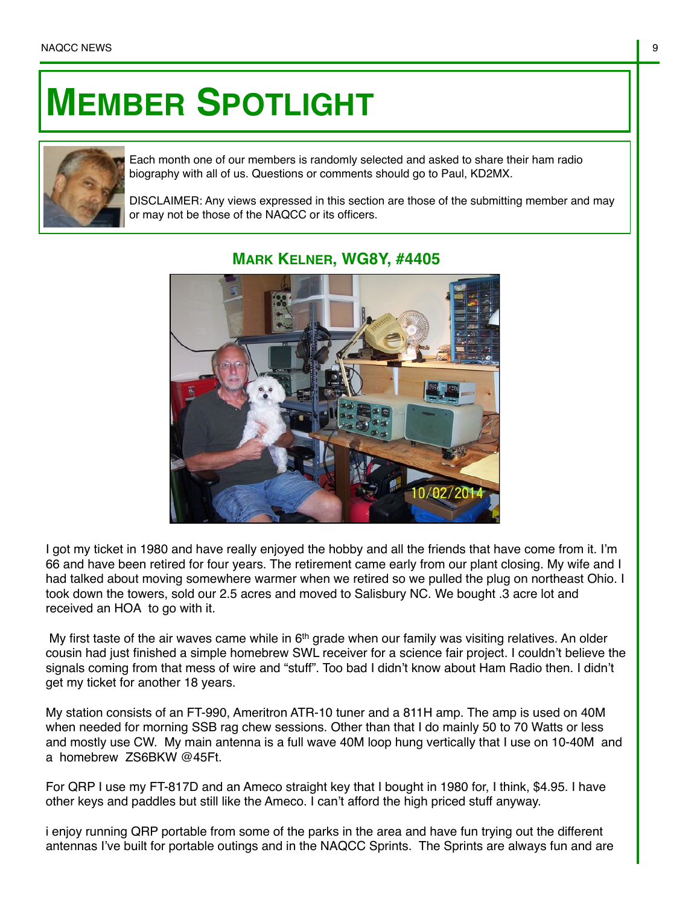## **MEMBER SPOTLIGHT**



Each month one of our members is randomly selected and asked to share their ham radio biography with all of us. Questions or comments should go to Paul, KD2MX.

DISCLAIMER: Any views expressed in this section are those of the submitting member and may or may not be those of the NAQCC or its officers.



## **MARK KELNER, WG8Y, #4405**

I got my ticket in 1980 and have really enjoyed the hobby and all the friends that have come from it. I'm 66 and have been retired for four years. The retirement came early from our plant closing. My wife and I had talked about moving somewhere warmer when we retired so we pulled the plug on northeast Ohio. I took down the towers, sold our 2.5 acres and moved to Salisbury NC. We bought .3 acre lot and received an HOA to go with it.

My first taste of the air waves came while in  $6<sup>th</sup>$  grade when our family was visiting relatives. An older cousin had just finished a simple homebrew SWL receiver for a science fair project. I couldn't believe the signals coming from that mess of wire and "stuff". Too bad I didn't know about Ham Radio then. I didn't get my ticket for another 18 years.

My station consists of an FT-990, Ameritron ATR-10 tuner and a 811H amp. The amp is used on 40M when needed for morning SSB rag chew sessions. Other than that I do mainly 50 to 70 Watts or less and mostly use CW. My main antenna is a full wave 40M loop hung vertically that I use on 10-40M and a homebrew ZS6BKW @45Ft.

For QRP I use my FT-817D and an Ameco straight key that I bought in 1980 for, I think, \$4.95. I have other keys and paddles but still like the Ameco. I can't afford the high priced stuff anyway.

i enjoy running QRP portable from some of the parks in the area and have fun trying out the different antennas I've built for portable outings and in the NAQCC Sprints. The Sprints are always fun and are